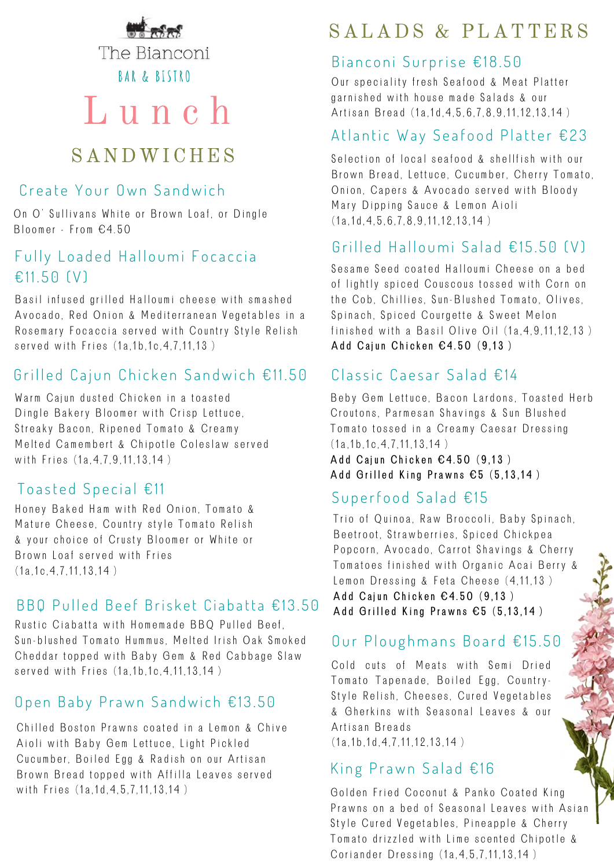

The Bianconi **BAR & BISTRO** 

# L u n c h

## SANDWICHES

#### Create Your Own Sandwich

On O' Sullivans White or Brown Loaf, or Dingle Bloomer - From  $64.50$ 

#### Fully Loaded Halloumi Focaccia  $€1150 (V)$

Basil infused grilled Halloumi cheese with smashed Avocado, Red Onion & Mediterranean Vegetables in a Rosemary Focaccia served with Country Style Relish served with Fries (1a.1b.1c.4.7.11.13)

#### Grilled Cajun Chicken Sandwich €11.50

Warm Cajun dusted Chicken in a toasted Dingle Bakery Bloomer with Crisp Lettuce, Streaky Bacon, Ripened Tomato & Creamy Melted Camembert & Chipotle Coleslaw served with Fries (1a, 4, 7, 9, 11, 13, 14)

#### To a sted Special  $£11$

Honey Baked Ham with Red Onion, Tomato & Mature Cheese, Country style Tomato Relish & your choice of Crusty Bloomer or White or Brown Loaf served with Fries  $(1a, 1c, 4, 7, 11, 13, 14)$ 

#### $B$  B  $B$  D  $U$  led Beef Brisket Ciabatta  $E$ 13.50

Rustic Ciabatta with Homemade BBQ Pulled Beef, Sun-blushed Tomato Hummus, Melted Irish Oak Smoked Cheddar topped with Baby Gem & Red Cabbage Slaw served with Fries (1a, 1b, 1c, 4, 11, 13, 14)

#### Open Baby Prawn Sandwich €13.50

Chilled Boston Prawns coated in a Lemon & Chive Aioli with Baby Gem Lettuce, Light Pickled Cucumber, Boiled Egg & Radish on our Artisan Brown Bread topped with Affilla Leaves served with Fries (1a.1d.4.5.7.11.13.14)

# SALADS & PLATTERS

#### Bianconi Surprise €18.50

Our speciality fresh Seafood & Meat Platter garnished with house made Salads & our Artisan Bread (1a.1d.4.5.6.7.8.9.11.12.13.14)

#### Atlantic Way Seafood Platter €23

Selection of local seafood & shellfish with our Brown Bread, Lettuce, Cucumber, Cherry Tomato, Onion, Capers & Avocado served with Bloody Mary Dipping Sauce & Lemon Aioli  $(1a.1d.4.5.6.7.8.9.11.12.13.14)$ 

#### Grilled Halloumi Salad  $£15.50$  (V)

Sesame Seed coated Halloumi Cheese on a bed of lightly spiced Couscous tossed with Corn on the Cob, Chillies, Sun-Blushed Tomato, Olives, Spinach, Spiced Courgette & Sweet Melon finished with a Basil Olive Oil  $(1a, 4, 9, 11, 12, 13)$ Add Cajun Chicken  $64.50$  (9,13)

#### $Classic Caesar Salad E14$

Beby Gem Lettuce, Bacon Lardons, Toasted Herb Croutons, Parmesan Shavings & Sun Blushed Tomato tossed in a Creamy Caesar Dressing  $(1a, 1b, 1c, 4, 7, 11, 13, 14)$ Add Cajun Chicken  $64.50$  (9.13) Add Grilled King Prawns  $\epsilon$ 5 (5,13,14)

## Superfood Salad  $£15$

Trio of Quinoa, Raw Broccoli, Baby Spinach, Beetroot, Strawberries, Spiced Chickpea Popcorn, Avocado, Carrot Shavings & Cherry Tomatoes finished with Organic Acai Berry & Lemon Dressing & Feta Cheese (4,11,13) Add Caiun Chicken  $64.50$  (9.13) Add Grilled King Prawns  $\epsilon$ 5 (5,13,14)

## Our Ploughmans Board €15.50

Cold cuts of Meats with Semi Dried Tomato Tapenade, Boiled Egg, Country-Style Relish, Cheeses, Cured Vegetables & Gherkins with Seasonal Leaves & our Artisan Breads  $(1a.1b.1d.4.7.11.12.13.14)$ 

#### King Prawn Salad  $£16$

Golden Fried Coconut & Panko Coated King Prawns on a bed of Seasonal Leaves with Asian Style Cured Vegetables, Pineapple & Cherry Tomato drizzled with Lime scented Chipotle & Coriander Dressing (1a, 4, 5, 7, 11, 13, 14)